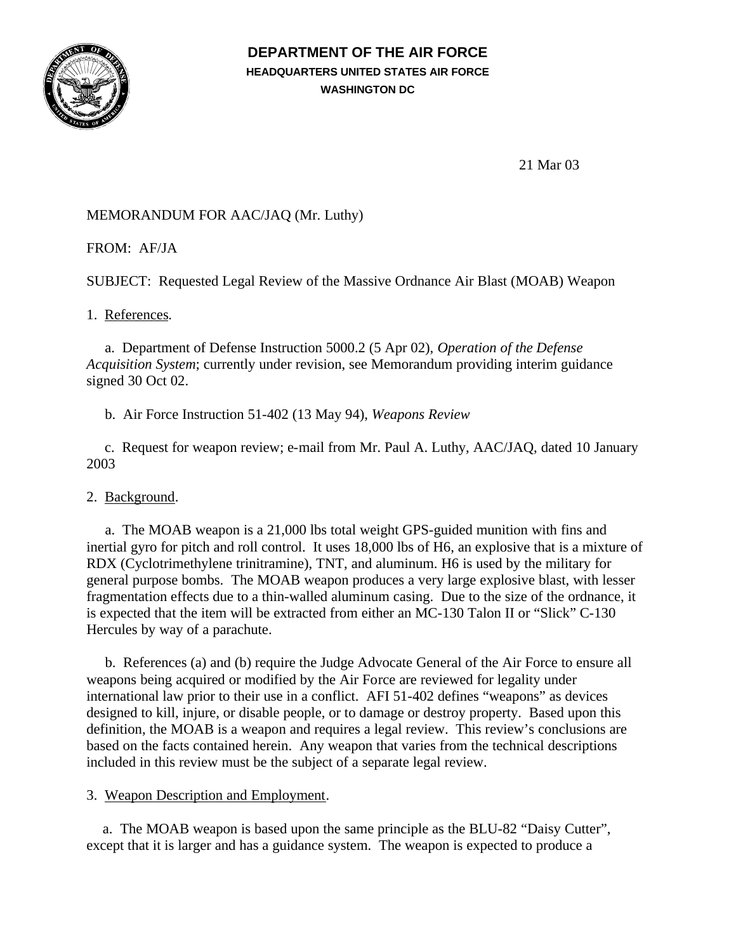

## **DEPARTMENT OF THE AIR FORCE HEADQUARTERS UNITED STATES AIR FORCE WASHINGTON DC**

21 Mar 03

# MEMORANDUM FOR AAC/JAQ (Mr. Luthy)

FROM: AF/JA

SUBJECT: Requested Legal Review of the Massive Ordnance Air Blast (MOAB) Weapon

1. References.

 a. Department of Defense Instruction 5000.2 (5 Apr 02), *Operation of the Defense Acquisition System*; currently under revision, see Memorandum providing interim guidance signed 30 Oct 02.

b. Air Force Instruction 51-402 (13 May 94), *Weapons Review*

c. Request for weapon review; e-mail from Mr. Paul A. Luthy, AAC/JAQ, dated 10 January 2003

## 2. Background.

 a. The MOAB weapon is a 21,000 lbs total weight GPS-guided munition with fins and inertial gyro for pitch and roll control. It uses 18,000 lbs of H6, an explosive that is a mixture of RDX (Cyclotrimethylene trinitramine), TNT, and aluminum. H6 is used by the military for general purpose bombs. The MOAB weapon produces a very large explosive blast, with lesser fragmentation effects due to a thin-walled aluminum casing. Due to the size of the ordnance, it is expected that the item will be extracted from either an MC-130 Talon II or "Slick" C-130 Hercules by way of a parachute.

 b. References (a) and (b) require the Judge Advocate General of the Air Force to ensure all weapons being acquired or modified by the Air Force are reviewed for legality under international law prior to their use in a conflict. AFI 51-402 defines "weapons" as devices designed to kill, injure, or disable people, or to damage or destroy property. Based upon this definition, the MOAB is a weapon and requires a legal review. This review's conclusions are based on the facts contained herein. Any weapon that varies from the technical descriptions included in this review must be the subject of a separate legal review.

## 3. Weapon Description and Employment.

a. The MOAB weapon is based upon the same principle as the BLU-82 "Daisy Cutter", except that it is larger and has a guidance system. The weapon is expected to produce a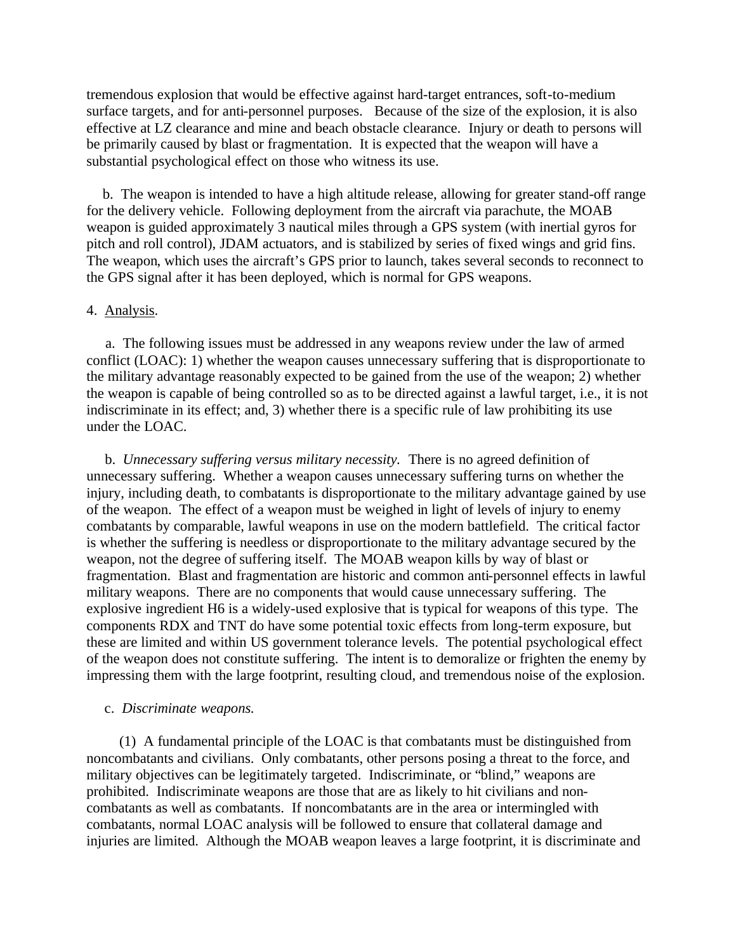tremendous explosion that would be effective against hard-target entrances, soft-to-medium surface targets, and for anti-personnel purposes. Because of the size of the explosion, it is also effective at LZ clearance and mine and beach obstacle clearance. Injury or death to persons will be primarily caused by blast or fragmentation. It is expected that the weapon will have a substantial psychological effect on those who witness its use.

b. The weapon is intended to have a high altitude release, allowing for greater stand-off range for the delivery vehicle. Following deployment from the aircraft via parachute, the MOAB weapon is guided approximately 3 nautical miles through a GPS system (with inertial gyros for pitch and roll control), JDAM actuators, and is stabilized by series of fixed wings and grid fins. The weapon, which uses the aircraft's GPS prior to launch, takes several seconds to reconnect to the GPS signal after it has been deployed, which is normal for GPS weapons.

#### 4. Analysis.

 a. The following issues must be addressed in any weapons review under the law of armed conflict (LOAC): 1) whether the weapon causes unnecessary suffering that is disproportionate to the military advantage reasonably expected to be gained from the use of the weapon; 2) whether the weapon is capable of being controlled so as to be directed against a lawful target, i.e., it is not indiscriminate in its effect; and, 3) whether there is a specific rule of law prohibiting its use under the LOAC.

 b. *Unnecessary suffering versus military necessity.* There is no agreed definition of unnecessary suffering. Whether a weapon causes unnecessary suffering turns on whether the injury, including death, to combatants is disproportionate to the military advantage gained by use of the weapon. The effect of a weapon must be weighed in light of levels of injury to enemy combatants by comparable, lawful weapons in use on the modern battlefield. The critical factor is whether the suffering is needless or disproportionate to the military advantage secured by the weapon, not the degree of suffering itself. The MOAB weapon kills by way of blast or fragmentation. Blast and fragmentation are historic and common anti-personnel effects in lawful military weapons. There are no components that would cause unnecessary suffering. The explosive ingredient H6 is a widely-used explosive that is typical for weapons of this type. The components RDX and TNT do have some potential toxic effects from long-term exposure, but these are limited and within US government tolerance levels. The potential psychological effect of the weapon does not constitute suffering. The intent is to demoralize or frighten the enemy by impressing them with the large footprint, resulting cloud, and tremendous noise of the explosion.

#### c. *Discriminate weapons.*

 (1) A fundamental principle of the LOAC is that combatants must be distinguished from noncombatants and civilians. Only combatants, other persons posing a threat to the force, and military objectives can be legitimately targeted. Indiscriminate, or "blind," weapons are prohibited. Indiscriminate weapons are those that are as likely to hit civilians and noncombatants as well as combatants. If noncombatants are in the area or intermingled with combatants, normal LOAC analysis will be followed to ensure that collateral damage and injuries are limited. Although the MOAB weapon leaves a large footprint, it is discriminate and